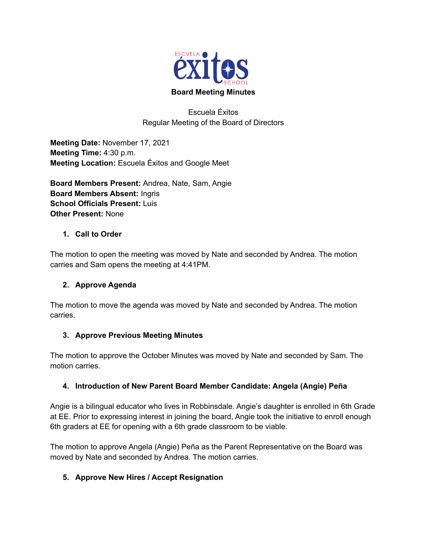

Escuela Éxitos Regular Meeting of the Board of Directors

**Meeting Date:** November 17, 2021 **Meeting Time:** 4:30 p.m. **Meeting Location:** Escuela Éxitos and Google Meet

**Board Members Present:** Andrea, Nate, Sam, Angie **Board Members Absent:** Ingris **School Officials Present:** Luis **Other Present:** None

# **1. Call to Order**

The motion to open the meeting was moved by Nate and seconded by Andrea. The motion carries and Sam opens the meeting at 4:41PM.

## **2. Approve Agenda**

The motion to move the agenda was moved by Nate and seconded by Andrea. The motion carries.

## **3. Approve Previous Meeting Minutes**

The motion to approve the October Minutes was moved by Nate and seconded by Sam. The motion carries.

## **4. Introduction of New Parent Board Member Candidate: Angela (Angie) Peña**

Angie is a bilingual educator who lives in Robbinsdale. Angie's daughter is enrolled in 6th Grade at EE. Prior to expressing interest in joining the board, Angie took the initiative to enroll enough 6th graders at EE for opening with a 6th grade classroom to be viable.

The motion to approve Angela (Angie) Peña as the Parent Representative on the Board was moved by Nate and seconded by Andrea. The motion carries.

# **5. Approve New Hires / Accept Resignation**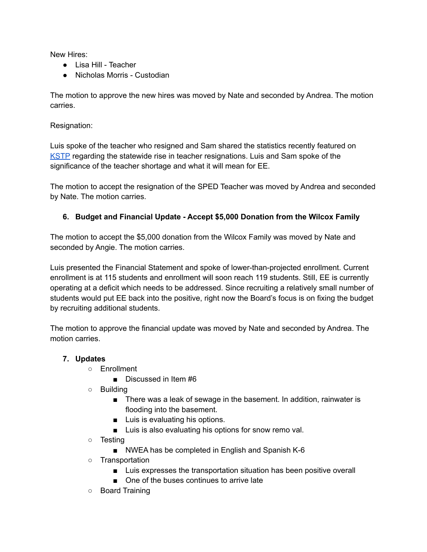New Hires:

- Lisa Hill Teacher
- Nicholas Morris Custodian

The motion to approve the new hires was moved by Nate and seconded by Andrea. The motion carries.

Resignation:

Luis spoke of the teacher who resigned and Sam shared the statistics recently featured on KSTP regarding the statewide rise in teacher resignations. Luis and Sam spoke of the significance of the teacher shortage and what it will mean for EE.

The motion to accept the resignation of the SPED Teacher was moved by Andrea and seconded by Nate. The motion carries.

# **6. Budget and Financial Update - Accept \$5,000 Donation from the Wilcox Family**

The motion to accept the \$5,000 donation from the Wilcox Family was moved by Nate and seconded by Angie. The motion carries.

Luis presented the Financial Statement and spoke of lower-than-projected enrollment. Current enrollment is at 115 students and enrollment will soon reach 119 students. Still, EE is currently operating at a deficit which needs to be addressed. Since recruiting a relatively small number of students would put EE back into the positive, right now the Board's focus is on fixing the budget by recruiting additional students.

The motion to approve the financial update was moved by Nate and seconded by Andrea. The motion carries.

## **7. Updates**

- Enrollment
	- Discussed in Item #6
- Building
	- There was a leak of sewage in the basement. In addition, rainwater is flooding into the basement.
	- Luis is evaluating his options.
	- Luis is also evaluating his options for snow remo val.
- Testing
	- NWEA has be completed in English and Spanish K-6
- Transportation
	- Luis expresses the transportation situation has been positive overall
	- One of the buses continues to arrive late
- Board Training